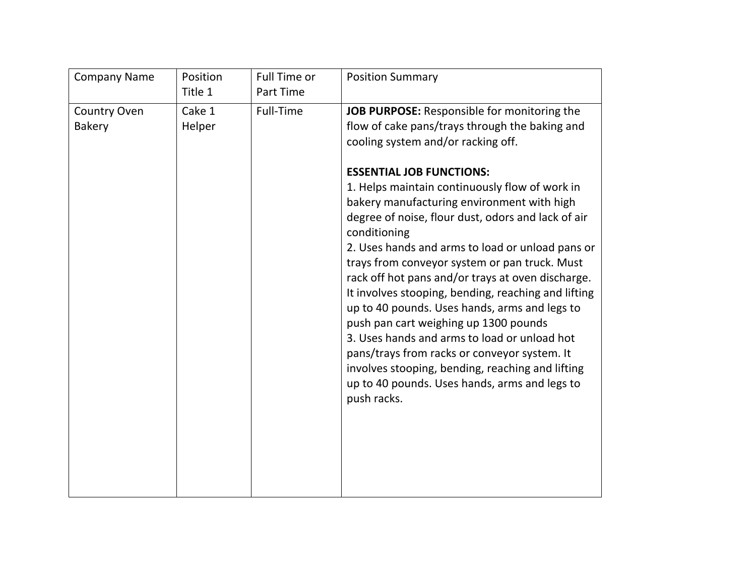| <b>Company Name</b>                  | Position<br>Title 1 | Full Time or<br>Part Time | <b>Position Summary</b>                                                                                                                                                                                                                                                                                                                                                                                                                                                                                                                                                                                                                                                                                                                                                                                                                                                     |
|--------------------------------------|---------------------|---------------------------|-----------------------------------------------------------------------------------------------------------------------------------------------------------------------------------------------------------------------------------------------------------------------------------------------------------------------------------------------------------------------------------------------------------------------------------------------------------------------------------------------------------------------------------------------------------------------------------------------------------------------------------------------------------------------------------------------------------------------------------------------------------------------------------------------------------------------------------------------------------------------------|
| <b>Country Oven</b><br><b>Bakery</b> | Cake 1<br>Helper    | Full-Time                 | JOB PURPOSE: Responsible for monitoring the<br>flow of cake pans/trays through the baking and<br>cooling system and/or racking off.<br><b>ESSENTIAL JOB FUNCTIONS:</b><br>1. Helps maintain continuously flow of work in<br>bakery manufacturing environment with high<br>degree of noise, flour dust, odors and lack of air<br>conditioning<br>2. Uses hands and arms to load or unload pans or<br>trays from conveyor system or pan truck. Must<br>rack off hot pans and/or trays at oven discharge.<br>It involves stooping, bending, reaching and lifting<br>up to 40 pounds. Uses hands, arms and legs to<br>push pan cart weighing up 1300 pounds<br>3. Uses hands and arms to load or unload hot<br>pans/trays from racks or conveyor system. It<br>involves stooping, bending, reaching and lifting<br>up to 40 pounds. Uses hands, arms and legs to<br>push racks. |
|                                      |                     |                           |                                                                                                                                                                                                                                                                                                                                                                                                                                                                                                                                                                                                                                                                                                                                                                                                                                                                             |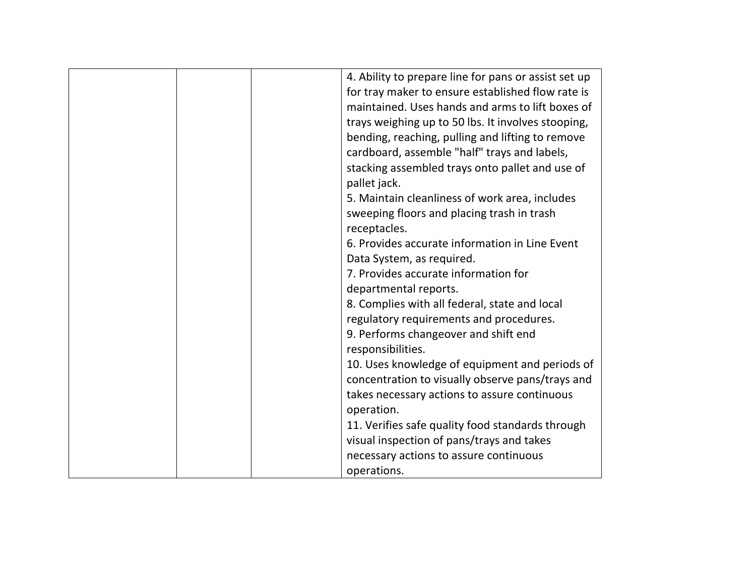|  | 4. Ability to prepare line for pans or assist set up |
|--|------------------------------------------------------|
|  | for tray maker to ensure established flow rate is    |
|  | maintained. Uses hands and arms to lift boxes of     |
|  | trays weighing up to 50 lbs. It involves stooping,   |
|  | bending, reaching, pulling and lifting to remove     |
|  | cardboard, assemble "half" trays and labels,         |
|  | stacking assembled trays onto pallet and use of      |
|  | pallet jack.                                         |
|  | 5. Maintain cleanliness of work area, includes       |
|  | sweeping floors and placing trash in trash           |
|  | receptacles.                                         |
|  | 6. Provides accurate information in Line Event       |
|  | Data System, as required.                            |
|  | 7. Provides accurate information for                 |
|  | departmental reports.                                |
|  | 8. Complies with all federal, state and local        |
|  | regulatory requirements and procedures.              |
|  | 9. Performs changeover and shift end                 |
|  | responsibilities.                                    |
|  | 10. Uses knowledge of equipment and periods of       |
|  | concentration to visually observe pans/trays and     |
|  | takes necessary actions to assure continuous         |
|  | operation.                                           |
|  | 11. Verifies safe quality food standards through     |
|  | visual inspection of pans/trays and takes            |
|  | necessary actions to assure continuous               |
|  | operations.                                          |
|  |                                                      |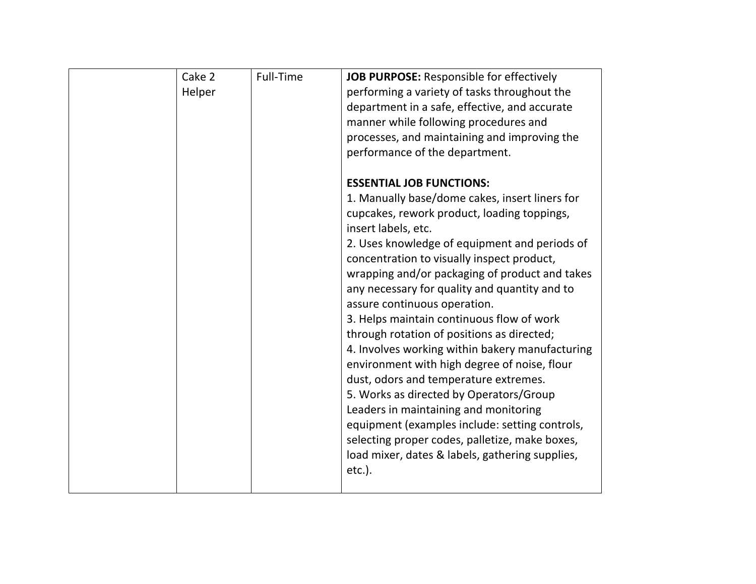| Cake 2<br>Helper | Full-Time | JOB PURPOSE: Responsible for effectively<br>performing a variety of tasks throughout the<br>department in a safe, effective, and accurate<br>manner while following procedures and<br>processes, and maintaining and improving the<br>performance of the department.<br><b>ESSENTIAL JOB FUNCTIONS:</b><br>1. Manually base/dome cakes, insert liners for<br>cupcakes, rework product, loading toppings,<br>insert labels, etc.<br>2. Uses knowledge of equipment and periods of<br>concentration to visually inspect product,<br>wrapping and/or packaging of product and takes<br>any necessary for quality and quantity and to<br>assure continuous operation.<br>3. Helps maintain continuous flow of work<br>through rotation of positions as directed;<br>4. Involves working within bakery manufacturing<br>environment with high degree of noise, flour<br>dust, odors and temperature extremes.<br>5. Works as directed by Operators/Group<br>Leaders in maintaining and monitoring<br>equipment (examples include: setting controls,<br>selecting proper codes, palletize, make boxes,<br>load mixer, dates & labels, gathering supplies, |
|------------------|-----------|-----------------------------------------------------------------------------------------------------------------------------------------------------------------------------------------------------------------------------------------------------------------------------------------------------------------------------------------------------------------------------------------------------------------------------------------------------------------------------------------------------------------------------------------------------------------------------------------------------------------------------------------------------------------------------------------------------------------------------------------------------------------------------------------------------------------------------------------------------------------------------------------------------------------------------------------------------------------------------------------------------------------------------------------------------------------------------------------------------------------------------------------------------|
|                  |           | $etc.$ ).                                                                                                                                                                                                                                                                                                                                                                                                                                                                                                                                                                                                                                                                                                                                                                                                                                                                                                                                                                                                                                                                                                                                           |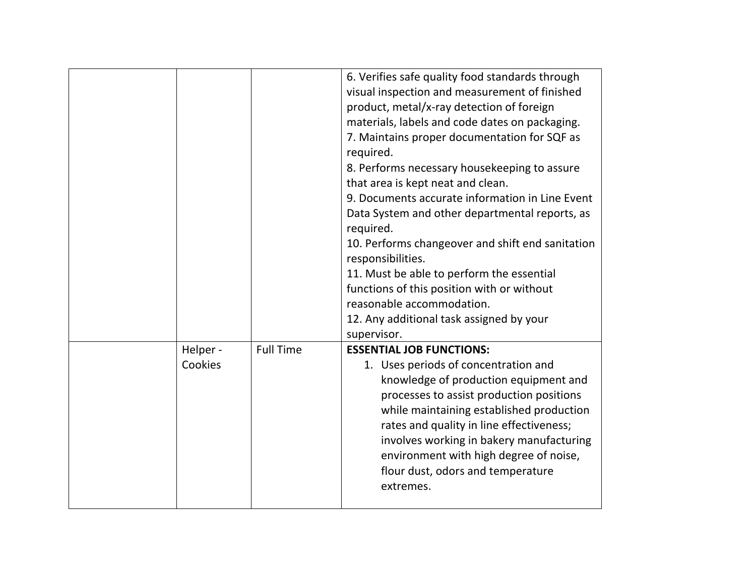|                     |                  | 6. Verifies safe quality food standards through<br>visual inspection and measurement of finished<br>product, metal/x-ray detection of foreign<br>materials, labels and code dates on packaging.<br>7. Maintains proper documentation for SQF as<br>required.<br>8. Performs necessary housekeeping to assure<br>that area is kept neat and clean.<br>9. Documents accurate information in Line Event<br>Data System and other departmental reports, as<br>required.<br>10. Performs changeover and shift end sanitation<br>responsibilities.<br>11. Must be able to perform the essential<br>functions of this position with or without<br>reasonable accommodation.<br>12. Any additional task assigned by your<br>supervisor. |
|---------------------|------------------|---------------------------------------------------------------------------------------------------------------------------------------------------------------------------------------------------------------------------------------------------------------------------------------------------------------------------------------------------------------------------------------------------------------------------------------------------------------------------------------------------------------------------------------------------------------------------------------------------------------------------------------------------------------------------------------------------------------------------------|
| Helper -<br>Cookies | <b>Full Time</b> | <b>ESSENTIAL JOB FUNCTIONS:</b><br>1. Uses periods of concentration and<br>knowledge of production equipment and<br>processes to assist production positions<br>while maintaining established production<br>rates and quality in line effectiveness;<br>involves working in bakery manufacturing<br>environment with high degree of noise,<br>flour dust, odors and temperature<br>extremes.                                                                                                                                                                                                                                                                                                                                    |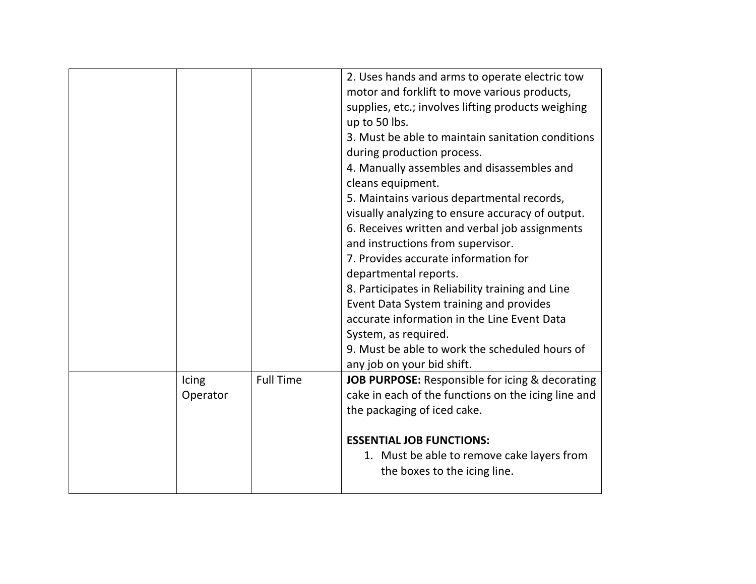|                   | <b>Full Time</b> | 2. Uses hands and arms to operate electric tow<br>motor and forklift to move various products,<br>supplies, etc.; involves lifting products weighing<br>up to 50 lbs.<br>3. Must be able to maintain sanitation conditions<br>during production process.<br>4. Manually assembles and disassembles and<br>cleans equipment.<br>5. Maintains various departmental records,<br>visually analyzing to ensure accuracy of output.<br>6. Receives written and verbal job assignments<br>and instructions from supervisor.<br>7. Provides accurate information for<br>departmental reports.<br>8. Participates in Reliability training and Line<br>Event Data System training and provides<br>accurate information in the Line Event Data<br>System, as required.<br>9. Must be able to work the scheduled hours of<br>any job on your bid shift. |
|-------------------|------------------|---------------------------------------------------------------------------------------------------------------------------------------------------------------------------------------------------------------------------------------------------------------------------------------------------------------------------------------------------------------------------------------------------------------------------------------------------------------------------------------------------------------------------------------------------------------------------------------------------------------------------------------------------------------------------------------------------------------------------------------------------------------------------------------------------------------------------------------------|
| Icing<br>Operator |                  | JOB PURPOSE: Responsible for icing & decorating<br>cake in each of the functions on the icing line and                                                                                                                                                                                                                                                                                                                                                                                                                                                                                                                                                                                                                                                                                                                                      |
|                   |                  | the packaging of iced cake.                                                                                                                                                                                                                                                                                                                                                                                                                                                                                                                                                                                                                                                                                                                                                                                                                 |
|                   |                  | <b>ESSENTIAL JOB FUNCTIONS:</b>                                                                                                                                                                                                                                                                                                                                                                                                                                                                                                                                                                                                                                                                                                                                                                                                             |
|                   |                  |                                                                                                                                                                                                                                                                                                                                                                                                                                                                                                                                                                                                                                                                                                                                                                                                                                             |
|                   |                  | 1. Must be able to remove cake layers from<br>the boxes to the icing line.                                                                                                                                                                                                                                                                                                                                                                                                                                                                                                                                                                                                                                                                                                                                                                  |
|                   |                  |                                                                                                                                                                                                                                                                                                                                                                                                                                                                                                                                                                                                                                                                                                                                                                                                                                             |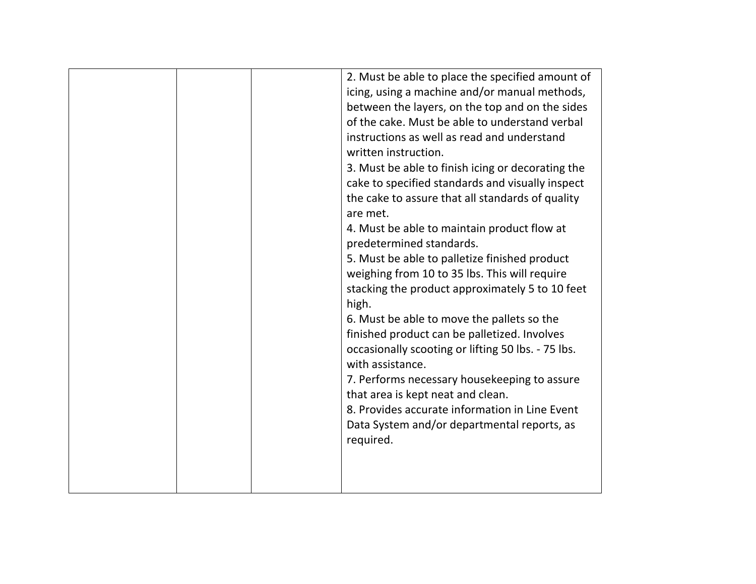| 2. Must be able to place the specified amount of<br>icing, using a machine and/or manual methods,<br>between the layers, on the top and on the sides<br>of the cake. Must be able to understand verbal<br>instructions as well as read and understand<br>written instruction.<br>3. Must be able to finish icing or decorating the<br>cake to specified standards and visually inspect<br>the cake to assure that all standards of quality<br>are met.<br>4. Must be able to maintain product flow at<br>predetermined standards.<br>5. Must be able to palletize finished product<br>weighing from 10 to 35 lbs. This will require<br>stacking the product approximately 5 to 10 feet<br>high.<br>6. Must be able to move the pallets so the<br>finished product can be palletized. Involves<br>occasionally scooting or lifting 50 lbs. - 75 lbs.<br>with assistance.<br>7. Performs necessary housekeeping to assure<br>that area is kept neat and clean.<br>8. Provides accurate information in Line Event |
|----------------------------------------------------------------------------------------------------------------------------------------------------------------------------------------------------------------------------------------------------------------------------------------------------------------------------------------------------------------------------------------------------------------------------------------------------------------------------------------------------------------------------------------------------------------------------------------------------------------------------------------------------------------------------------------------------------------------------------------------------------------------------------------------------------------------------------------------------------------------------------------------------------------------------------------------------------------------------------------------------------------|
|                                                                                                                                                                                                                                                                                                                                                                                                                                                                                                                                                                                                                                                                                                                                                                                                                                                                                                                                                                                                                |
| Data System and/or departmental reports, as<br>required.                                                                                                                                                                                                                                                                                                                                                                                                                                                                                                                                                                                                                                                                                                                                                                                                                                                                                                                                                       |
|                                                                                                                                                                                                                                                                                                                                                                                                                                                                                                                                                                                                                                                                                                                                                                                                                                                                                                                                                                                                                |